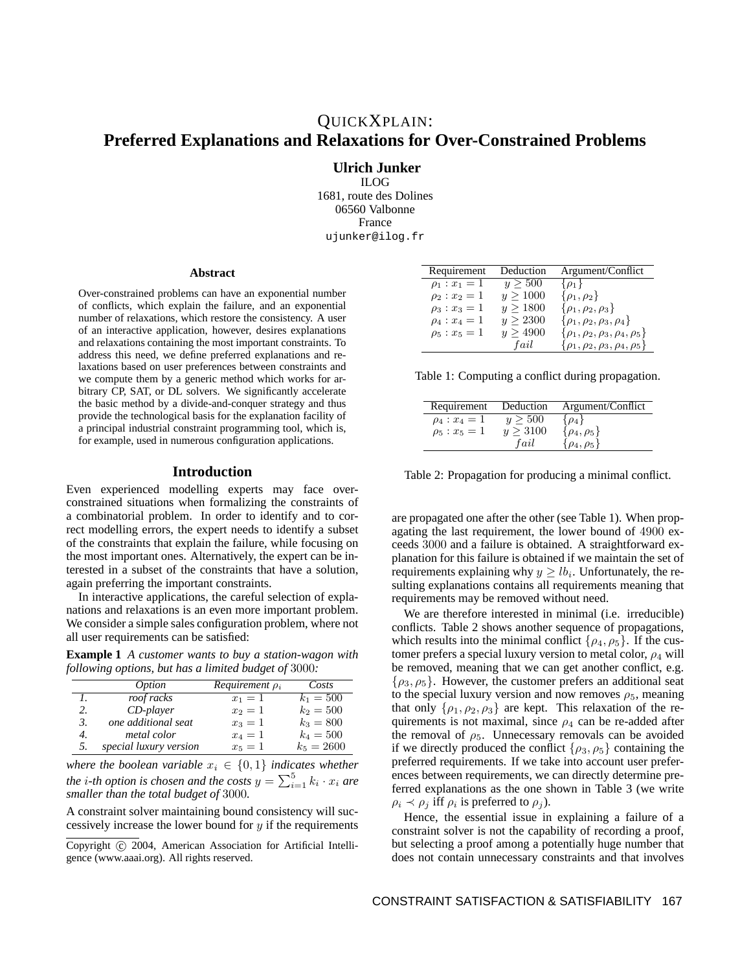**Ulrich Junker** ILOG 1681, route des Dolines 06560 Valbonne France ujunker@ilog.fr

#### **Abstract**

Over-constrained problems can have an exponential number of conflicts, which explain the failure, and an exponential number of relaxations, which restore the consistency. A user of an interactive application, however, desires explanations and relaxations containing the most important constraints. To address this need, we define preferred explanations and relaxations based on user preferences between constraints and we compute them by a generic method which works for arbitrary CP, SAT, or DL solvers. We significantly accelerate the basic method by a divide-and-conquer strategy and thus provide the technological basis for the explanation facility of a principal industrial constraint programming tool, which is, for example, used in numerous configuration applications.

#### **Introduction**

Even experienced modelling experts may face overconstrained situations when formalizing the constraints of a combinatorial problem. In order to identify and to correct modelling errors, the expert needs to identify a subset of the constraints that explain the failure, while focusing on the most important ones. Alternatively, the expert can be interested in a subset of the constraints that have a solution, again preferring the important constraints.

In interactive applications, the careful selection of explanations and relaxations is an even more important problem. We consider a simple sales configuration problem, where not all user requirements can be satisfied:

**Example 1** *A customer wants to buy a station-wagon with following options, but has a limited budget of* 3000*:*

|    | <i>Option</i>          | Requirement $\rho_i$ | Costs        |
|----|------------------------|----------------------|--------------|
|    | roof racks             | $x_1 = 1$            | $k_1 = 500$  |
| 2. | $CD$ -player           | $x_2=1$              | $k_2 = 500$  |
| 3. | one additional seat    | $x_3=1$              | $k_3 = 800$  |
| 4. | metal color            | $x_4=1$              | $k_4 = 500$  |
| 5. | special luxury version | $x_5 = 1$            | $k_5 = 2600$ |

*where the boolean variable*  $x_i \in \{0, 1\}$  *indicates whether the i*-th *option* is chosen and the costs  $y = \sum_{i=1}^{5} k_i \cdot x_i$  are *smaller than the total budget of* 3000*.*

A constraint solver maintaining bound consistency will successively increase the lower bound for  $y$  if the requirements

| Requirement       | Deduction | Argument/Conflict                            |
|-------------------|-----------|----------------------------------------------|
| $\rho_1: x_1 = 1$ | y > 500   | $\{\rho_1\}$                                 |
| $\rho_2: x_2 = 1$ | y > 1000  | $\{\rho_1,\rho_2\}$                          |
| $\rho_3: x_3=1$   | y > 1800  | $\{\rho_1, \rho_2, \rho_3\}$                 |
| $\rho_4: x_4=1$   | y > 2300  | $\{\rho_1, \rho_2, \rho_3, \rho_4\}$         |
| $\rho_5: x_5=1$   | y > 4900  | $\{\rho_1, \rho_2, \rho_3, \rho_4, \rho_5\}$ |
|                   | fail      | $\{\rho_1, \rho_2, \rho_3, \rho_4, \rho_5\}$ |

Table 1: Computing a conflict during propagation.

| Requirement     | Deduction     | Argument/Conflict       |
|-----------------|---------------|-------------------------|
| $\rho_4: x_4=1$ | $y \geq 500$  | $\{\rho_4\}$            |
| $\rho_5: x_5=1$ | $y \geq 3100$ | $\{\rho_4, \rho_5\}$    |
|                 | fail          | $\{\rho_{4},\rho_{5}\}$ |

Table 2: Propagation for producing a minimal conflict.

are propagated one after the other (see Table 1). When propagating the last requirement, the lower bound of 4900 exceeds 3000 and a failure is obtained. A straightforward explanation for this failure is obtained if we maintain the set of requirements explaining why  $y \geq lb_i$ . Unfortunately, the resulting explanations contains all requirements meaning that requirements may be removed without need.

We are therefore interested in minimal (i.e. irreducible) conflicts. Table 2 shows another sequence of propagations, which results into the minimal conflict  $\{\rho_4, \rho_5\}$ . If the customer prefers a special luxury version to metal color,  $\rho_4$  will be removed, meaning that we can get another conflict, e.g.  $\{\rho_3, \rho_5\}$ . However, the customer prefers an additional seat to the special luxury version and now removes  $\rho_5$ , meaning that only  $\{\rho_1, \rho_2, \rho_3\}$  are kept. This relaxation of the requirements is not maximal, since  $\rho_4$  can be re-added after the removal of  $\rho_5$ . Unnecessary removals can be avoided if we directly produced the conflict  $\{\rho_3, \rho_5\}$  containing the preferred requirements. If we take into account user preferences between requirements, we can directly determine preferred explanations as the one shown in Table 3 (we write  $\rho_i \prec \rho_j$  iff  $\rho_i$  is preferred to  $\rho_j$ ).

Hence, the essential issue in explaining a failure of a constraint solver is not the capability of recording a proof, but selecting a proof among a potentially huge number that does not contain unnecessary constraints and that involves

Copyright (c) 2004, American Association for Artificial Intelligence (www.aaai.org). All rights reserved.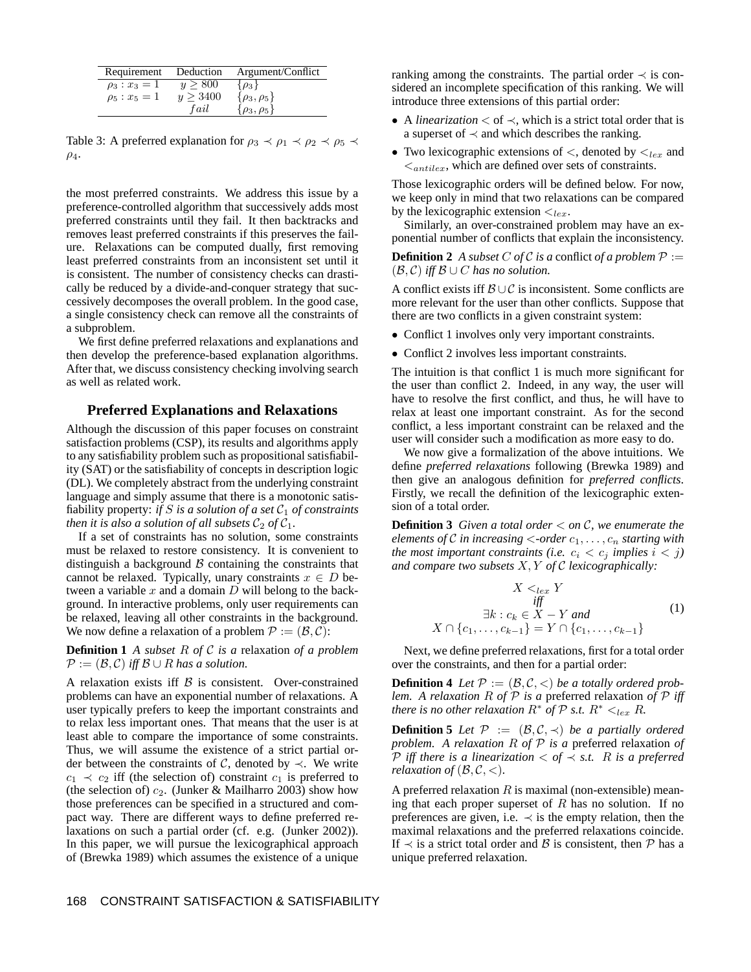| Requirement     | Deduction     | Argument/Conflict    |
|-----------------|---------------|----------------------|
| $\rho_3: x_3=1$ | y > 800       | $\{\rho_3\}$         |
| $\rho_5: x_5=1$ | $y \geq 3400$ | $\{\rho_3,\rho_5\}$  |
|                 | fail          | $\{\rho_3, \rho_5\}$ |

Table 3: A preferred explanation for  $\rho_3 \prec \rho_1 \prec \rho_2 \prec \rho_5 \prec$  $\rho_4$ .

the most preferred constraints. We address this issue by a preference-controlled algorithm that successively adds most preferred constraints until they fail. It then backtracks and removes least preferred constraints if this preserves the failure. Relaxations can be computed dually, first removing least preferred constraints from an inconsistent set until it is consistent. The number of consistency checks can drastically be reduced by a divide-and-conquer strategy that successively decomposes the overall problem. In the good case, a single consistency check can remove all the constraints of a subproblem.

We first define preferred relaxations and explanations and then develop the preference-based explanation algorithms. After that, we discuss consistency checking involving search as well as related work.

## **Preferred Explanations and Relaxations**

Although the discussion of this paper focuses on constraint satisfaction problems (CSP), its results and algorithms apply to any satisfiability problem such as propositional satisfiability (SAT) or the satisfiability of concepts in description logic (DL). We completely abstract from the underlying constraint language and simply assume that there is a monotonic satisfiability property: *if*  $S$  *is a solution of a set*  $C_1$  *of constraints then it is also a solution of all subsets*  $C_2$  *of*  $C_1$ *.* 

If a set of constraints has no solution, some constraints must be relaxed to restore consistency. It is convenient to distinguish a background  $\beta$  containing the constraints that cannot be relaxed. Typically, unary constraints  $x \in D$  between a variable  $x$  and a domain  $D$  will belong to the background. In interactive problems, only user requirements can be relaxed, leaving all other constraints in the background. We now define a relaxation of a problem  $P := (\mathcal{B}, \mathcal{C})$ :

**Definition 1** *A subset* R *of* C *is a* relaxation *of a problem*  $\mathcal{P} := (\mathcal{B}, \mathcal{C})$  *iff*  $\mathcal{B} \cup \mathcal{R}$  *has a solution.* 

A relaxation exists iff  $\beta$  is consistent. Over-constrained problems can have an exponential number of relaxations. A user typically prefers to keep the important constraints and to relax less important ones. That means that the user is at least able to compare the importance of some constraints. Thus, we will assume the existence of a strict partial order between the constraints of  $\mathcal{C}$ , denoted by  $\prec$ . We write  $c_1 \prec c_2$  iff (the selection of) constraint  $c_1$  is preferred to (the selection of)  $c_2$ . (Junker & Mailharro 2003) show how those preferences can be specified in a structured and compact way. There are different ways to define preferred relaxations on such a partial order (cf. e.g. (Junker 2002)). In this paper, we will pursue the lexicographical approach of (Brewka 1989) which assumes the existence of a unique ranking among the constraints. The partial order  $\prec$  is considered an incomplete specification of this ranking. We will introduce three extensions of this partial order:

- A *linearization* < of ≺, which is a strict total order that is a superset of  $\prec$  and which describes the ranking.
- Two lexicographic extensions of  $\lt$ , denoted by  $\lt_{lex}$  and  $\leq_{antilex}$ , which are defined over sets of constraints.

Those lexicographic orders will be defined below. For now, we keep only in mind that two relaxations can be compared by the lexicographic extension  $\lt_{lex}$ .

Similarly, an over-constrained problem may have an exponential number of conflicts that explain the inconsistency.

**Definition 2** *A subset* C *of* C *is a* conflict *of a problem*  $P :=$  $(\mathcal{B}, \mathcal{C})$  *iff*  $\mathcal{B} \cup C$  *has no solution.* 

A conflict exists iff  $\mathcal{B} \cup \mathcal{C}$  is inconsistent. Some conflicts are more relevant for the user than other conflicts. Suppose that there are two conflicts in a given constraint system:

- Conflict 1 involves only very important constraints.
- Conflict 2 involves less important constraints.

The intuition is that conflict 1 is much more significant for the user than conflict 2. Indeed, in any way, the user will have to resolve the first conflict, and thus, he will have to relax at least one important constraint. As for the second conflict, a less important constraint can be relaxed and the user will consider such a modification as more easy to do.

We now give a formalization of the above intuitions. We define *preferred relaxations* following (Brewka 1989) and then give an analogous definition for *preferred conflicts*. Firstly, we recall the definition of the lexicographic extension of a total order.

**Definition 3** *Given a total order* < *on* C*, we enumerate the elements* of C *in increasing*  $\lt$ *-order*  $c_1, \ldots, c_n$  *starting* with *the most important constraints (i.e.*  $c_i < c_j$  *implies*  $i < j$ ) *and compare two subsets* X, Y *of* C *lexicographically:*

$$
X <_{lex} Y
$$
  
\niff  
\n
$$
\exists k : c_k \in X - Y \text{ and}
$$
\n
$$
X \cap \{c_1, \dots, c_{k-1}\} = Y \cap \{c_1, \dots, c_{k-1}\}
$$
\n(1)

Next, we define preferred relaxations, first for a total order over the constraints, and then for a partial order:

**Definition 4** *Let*  $P := (B, C, <)$  *be a totally ordered problem. A relaxation* R *of* P *is a* preferred relaxation *of* P *iff there is no other relaxation*  $R^*$  *of*  $\mathcal{P}$  *s.t.*  $R^* <_{lex} R$ *.* 

**Definition 5** *Let*  $P := (B, C, \prec)$  *be a partially ordered problem. A relaxation* R *of* P *is a* preferred relaxation *of*  $P$  *iff* there is a linearization  $\langle \nvert \nvert \nvert \nvert \nvert s \rangle$  as *a* preferred *relaxation of*  $(\mathcal{B}, \mathcal{C}, \langle)$ *.* 

A preferred relaxation  $R$  is maximal (non-extensible) meaning that each proper superset of  $R$  has no solution. If no preferences are given, i.e.  $\prec$  is the empty relation, then the maximal relaxations and the preferred relaxations coincide. If  $\prec$  is a strict total order and B is consistent, then P has a unique preferred relaxation.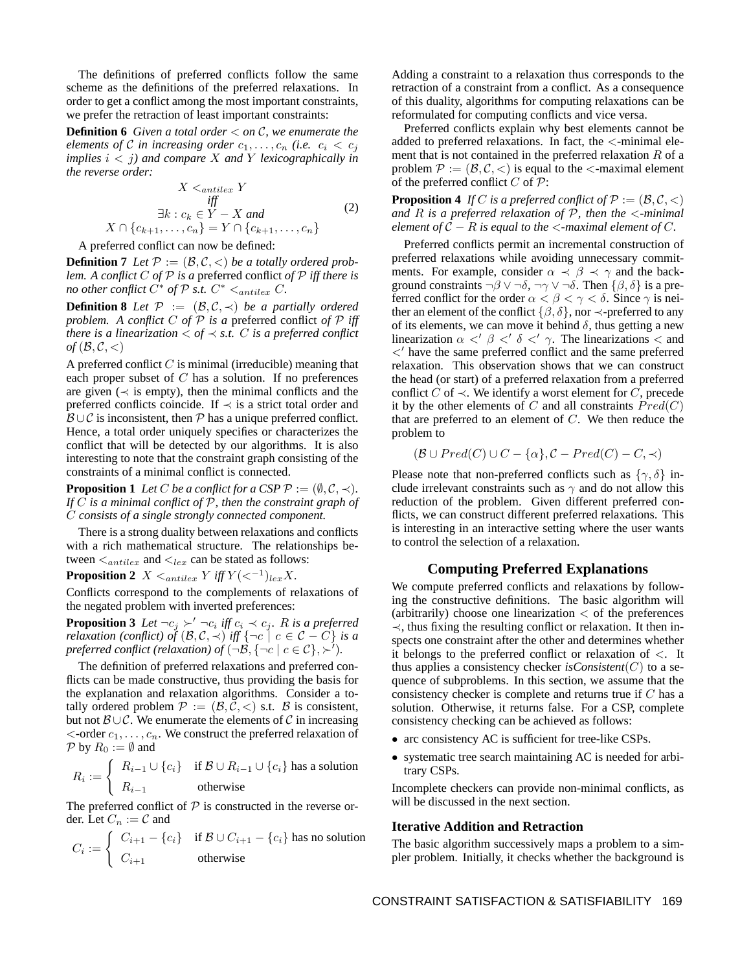The definitions of preferred conflicts follow the same scheme as the definitions of the preferred relaxations. In order to get a conflict among the most important constraints, we prefer the retraction of least important constraints:

**Definition 6** *Given a total order* < *on* C*, we enumerate the elements of* C *in increasing order*  $c_1, \ldots, c_n$  *(i.e.*  $c_i < c_j$ *implies*  $i < j$ *)* and compare X and Y lexicographically in *the reverse order:*

$$
X \leq_{antilex} Y
$$
  
\niff  
\n
$$
\exists k : c_k \in Y - X \text{ and}
$$
\n
$$
X \cap \{c_{k+1}, \dots, c_n\} = Y \cap \{c_{k+1}, \dots, c_n\}
$$
\n(2)

A preferred conflict can now be defined:

**Definition 7** *Let*  $P := (B, C, <)$  *be a totally ordered problem. A conflict* C *of* P *is a* preferred conflict *of* P *iff there is no other conflict*  $C^*$  *of*  $P$  *s.t.*  $C^*$   $\leq_{ant}$   $C$ *.* 

**Definition 8** *Let*  $P := (B, C, \prec)$  *be a partially ordered problem.* A *conflict* C *of*  $P$  *is a* preferred conflict *of*  $P$  *iff there is a linearization*  $\lt$  *of*  $\lt$  *s.t. C is a preferred conflict*  $of$  ( $\beta$ ,  $\beta$ ,  $\lt$ )

A preferred conflict  $C$  is minimal (irreducible) meaning that each proper subset of  $C$  has a solution. If no preferences are given ( $\prec$  is empty), then the minimal conflicts and the preferred conflicts coincide. If  $\prec$  is a strict total order and  $B \cup C$  is inconsistent, then P has a unique preferred conflict. Hence, a total order uniquely specifies or characterizes the conflict that will be detected by our algorithms. It is also interesting to note that the constraint graph consisting of the constraints of a minimal conflict is connected.

**Proposition 1** *Let C be a conflict for a CSP*  $\mathcal{P}$  := ( $\emptyset$ ,  $\mathcal{C}$ ,  $\prec$ ). *If* C *is a minimal conflict of* P*, then the constraint graph of* C *consists of a single strongly connected component.*

There is a strong duality between relaxations and conflicts with a rich mathematical structure. The relationships between  $\leq_{antilex}$  and  $\leq_{lex}$  can be stated as follows:

**Proposition 2**  $X \leq_{antilex} Y$  iff  $Y(<sup>-1</sup>)_{lex} X$ .

Conflicts correspond to the complements of relaxations of the negated problem with inverted preferences:

**Proposition 3** Let  $\neg c_j \succ' \neg c_i$  iff  $c_i \prec c_j$ . R is a preferred *relaxation (conflict) of*  $(B, C, \prec)$  *iff*  $\{\neg c \mid c \in C - C\}$  *is a preferred conflict (relaxation) of*  $\left(\neg \mathcal{B}, \{\neg c \mid c \in \mathcal{C}\}, \succ'\right)$ .

The definition of preferred relaxations and preferred conflicts can be made constructive, thus providing the basis for the explanation and relaxation algorithms. Consider a totally ordered problem  $P := (\mathcal{B}, \mathcal{C}, \langle)$  s.t.  $\mathcal{B}$  is consistent, but not  $\mathcal{B} \cup \mathcal{C}$ . We enumerate the elements of  $\mathcal{C}$  in increasing  $\lt$ -order  $c_1, \ldots, c_n$ . We construct the preferred relaxation of  $P$  by  $R_0 := \emptyset$  and

$$
R_i := \begin{cases} R_{i-1} \cup \{c_i\} & \text{if } B \cup R_{i-1} \cup \{c_i\} \text{ has a solution} \\ R_{i-1} & \text{otherwise} \end{cases}
$$

The preferred conflict of  $P$  is constructed in the reverse order. Let  $C_n := \mathcal{C}$  and

$$
C_i := \begin{cases} C_{i+1} - \{c_i\} & \text{if } B \cup C_{i+1} - \{c_i\} \text{ has no solution} \\ C_{i+1} & \text{otherwise} \end{cases}
$$

Adding a constraint to a relaxation thus corresponds to the retraction of a constraint from a conflict. As a consequence of this duality, algorithms for computing relaxations can be reformulated for computing conflicts and vice versa.

Preferred conflicts explain why best elements cannot be added to preferred relaxations. In fact, the <-minimal element that is not contained in the preferred relaxation  $R$  of a problem  $P := (\mathcal{B}, \mathcal{C}, \langle)$  is equal to the  $\langle$ -maximal element of the preferred conflict  $C$  of  $\mathcal{P}$ :

**Proposition 4** *If* C *is a preferred conflict of*  $P := (B, C, <)$ *and* R *is a preferred relaxation of* P*, then the* <*-minimal element of*  $C - R$  *is equal to the*  $\lt$ *-maximal element of*  $C$ *.* 

Preferred conflicts permit an incremental construction of preferred relaxations while avoiding unnecessary commitments. For example, consider  $\alpha \prec \beta \prec \gamma$  and the background constraints  $\neg \beta \lor \neg \delta$ ,  $\neg \gamma \lor \neg \delta$ . Then  $\{\beta, \delta\}$  is a preferred conflict for the order  $\alpha < \beta < \gamma < \delta$ . Since  $\gamma$  is neither an element of the conflict  $\{\beta, \delta\}$ , nor  $\prec$ -preferred to any of its elements, we can move it behind  $\delta$ , thus getting a new linearization  $\alpha$  <  $\beta$  <  $\delta$  <  $\gamma$ . The linearizations < and  $\langle$  have the same preferred conflict and the same preferred relaxation. This observation shows that we can construct the head (or start) of a preferred relaxation from a preferred conflict C of  $\prec$ . We identify a worst element for C, precede it by the other elements of  $C$  and all constraints  $Pred(C)$ that are preferred to an element of  $C$ . We then reduce the problem to

$$
(\mathcal{B} \cup Pred(C) \cup C - \{\alpha\}, \mathcal{C} - Pred(C) - C, \prec)
$$

Please note that non-preferred conflicts such as  $\{\gamma, \delta\}$  include irrelevant constraints such as  $\gamma$  and do not allow this reduction of the problem. Given different preferred conflicts, we can construct different preferred relaxations. This is interesting in an interactive setting where the user wants to control the selection of a relaxation.

## **Computing Preferred Explanations**

We compute preferred conflicts and relaxations by following the constructive definitions. The basic algorithm will (arbitrarily) choose one linearization  $\lt$  of the preferences ≺, thus fixing the resulting conflict or relaxation. It then inspects one constraint after the other and determines whether it belongs to the preferred conflict or relaxation of <. It thus applies a consistency checker *is Consistent*( $C$ ) to a sequence of subproblems. In this section, we assume that the consistency checker is complete and returns true if C has a solution. Otherwise, it returns false. For a CSP, complete consistency checking can be achieved as follows:

- arc consistency AC is sufficient for tree-like CSPs.
- systematic tree search maintaining AC is needed for arbitrary CSPs.

Incomplete checkers can provide non-minimal conflicts, as will be discussed in the next section.

#### **Iterative Addition and Retraction**

The basic algorithm successively maps a problem to a simpler problem. Initially, it checks whether the background is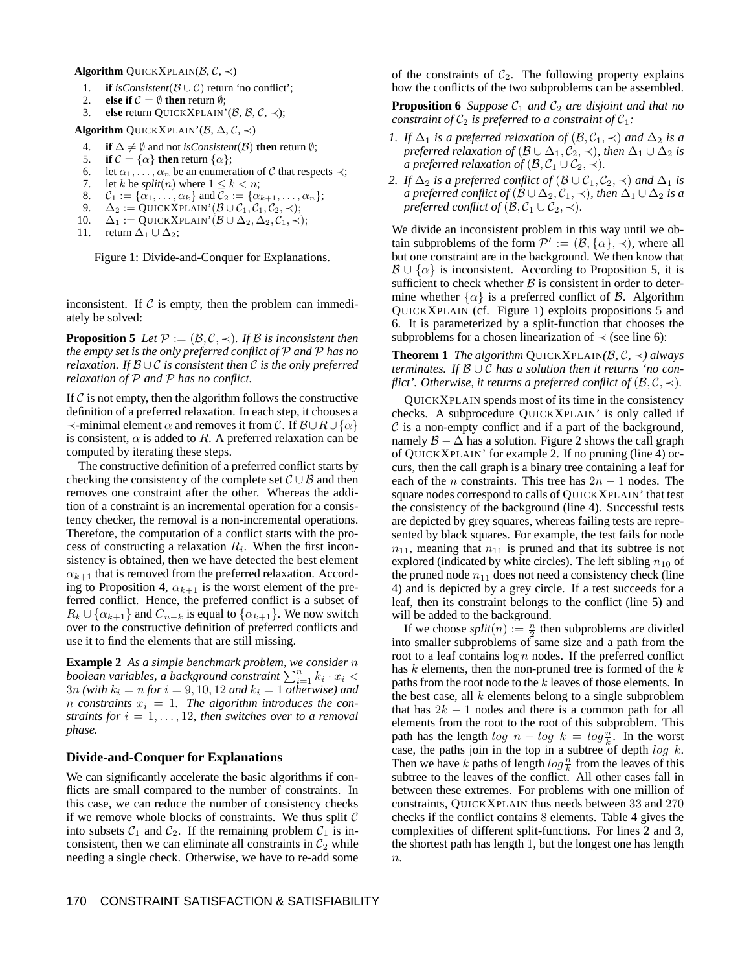#### **Algorithm** QUICKXPLAIN( $\beta$ ,  $\mathcal{C}$ ,  $\prec$ )

- 1. **if**  $isConsistent(B \cup C)$  return 'no conflict';
- 2. **else if**  $C = \emptyset$  **then** return  $\emptyset$ ;<br>3. **else** return OUICKXPLAIN'
- **else** return QUICKXPLAIN'( $\beta$ ,  $\beta$ ,  $\mathcal{C}$ ,  $\prec$ );

**Algorithm** QUICKXPLAIN'( $\beta$ ,  $\Delta$ ,  $\mathcal{C}$ ,  $\prec$ )

- 4. **if**  $\Delta \neq \emptyset$  and not *is Consistent*( $\mathcal{B}$ ) **then** return  $\emptyset$ ;
- 5. **if**  $C = {\alpha}$  **then** return  ${\alpha}$ ;
- 6. let  $\alpha_1, \ldots, \alpha_n$  be an enumeration of C that respects  $\prec$ ;
- 7. let k be *split*(*n*) where  $1 \leq k < n$ ;
- 8.  $C_1 := {\alpha_1, ..., \alpha_k}$  and  $C_2 := {\alpha_{k+1}, ..., \alpha_n};$ <br>9.  $\Delta_2 := \text{OUICKXPLAN'}(\mathcal{B} \cup C_1, C_2, \prec);$
- 9.  $\Delta_2 := \text{QuckXPLAN'}(\mathcal{B} \cup \mathcal{C}_1, \mathcal{C}_2, \prec);$ <br>10.  $\Delta_1 := \text{QuckXPLAN'}(\mathcal{B} \cup \Delta_2, \Delta_2, \mathcal{C}_1, \prec);$  $\Delta_1 := \text{QuickXPLAN'}(\mathcal{B} \cup \Delta_2, \Delta_2, \mathcal{C}_1, \prec);$
- 11. return  $\Delta_1 \cup \Delta_2$ ;

Figure 1: Divide-and-Conquer for Explanations.

inconsistent. If  $C$  is empty, then the problem can immediately be solved:

**Proposition 5** *Let*  $P := (B, C, \prec)$ *. If* B *is inconsistent then the empty set is the only preferred conflict of* P *and* P *has no relaxation. If*  $B \cup C$  *is consistent then*  $C$  *is the only preferred relaxation of* P *and* P *has no conflict.*

If  $\mathcal C$  is not empty, then the algorithm follows the constructive definition of a preferred relaxation. In each step, it chooses a  $\prec$ -minimal element  $\alpha$  and removes it from C. If  $\mathcal{B}\cup R\cup\{\alpha\}$ is consistent,  $\alpha$  is added to R. A preferred relaxation can be computed by iterating these steps.

The constructive definition of a preferred conflict starts by checking the consistency of the complete set  $\mathcal{C} \cup \mathcal{B}$  and then removes one constraint after the other. Whereas the addition of a constraint is an incremental operation for a consistency checker, the removal is a non-incremental operations. Therefore, the computation of a conflict starts with the process of constructing a relaxation  $R_i$ . When the first inconsistency is obtained, then we have detected the best element  $\alpha_{k+1}$  that is removed from the preferred relaxation. According to Proposition 4,  $\alpha_{k+1}$  is the worst element of the preferred conflict. Hence, the preferred conflict is a subset of  $R_k \cup \{\alpha_{k+1}\}\$  and  $C_{n-k}$  is equal to  $\{\alpha_{k+1}\}\$ . We now switch over to the constructive definition of preferred conflicts and use it to find the elements that are still missing.

**Example 2** *As a simple benchmark problem, we consider* n *boolean variables, a background constraint*  $\sum_{i=1}^{n} k_i \cdot x_i$  <  $3n$  *(with*  $k_i = n$  *for*  $i = 9, 10, 12$  *and*  $k_i = 1$  *otherwise) and n* constraints  $x_i = 1$ . The algorithm introduces the con*straints for*  $i = 1, \ldots, 12$ *, then switches over to a removal phase.*

# **Divide-and-Conquer for Explanations**

We can significantly accelerate the basic algorithms if conflicts are small compared to the number of constraints. In this case, we can reduce the number of consistency checks if we remove whole blocks of constraints. We thus split  $C$ into subsets  $C_1$  and  $C_2$ . If the remaining problem  $C_1$  is inconsistent, then we can eliminate all constraints in  $C_2$  while needing a single check. Otherwise, we have to re-add some of the constraints of  $C_2$ . The following property explains how the conflicts of the two subproblems can be assembled.

**Proposition 6** *Suppose*  $C_1$  *and*  $C_2$  *are disjoint and that no constraint of*  $C_2$  *is preferred to a constraint of*  $C_1$ *:* 

- *1. If*  $\Delta_1$  *is a preferred relaxation of*  $(\mathcal{B}, \mathcal{C}_1, \prec)$  *and*  $\Delta_2$  *is a preferred relaxation of*  $(B \cup \Delta_1, C_2, \prec)$ *, then*  $\Delta_1 \cup \Delta_2$  *is a* preferred relaxation of  $(\mathcal{B}, \mathcal{C}_1 \cup \mathcal{C}_2, \prec)$ .
- *2. If*  $\Delta_2$  *is a preferred conflict of* ( $\mathcal{B} \cup \mathcal{C}_1, \mathcal{C}_2, \prec$ ) *and*  $\Delta_1$  *is a* preferred conflict of  $(B \cup \Delta_2, C_1, \prec)$ , then  $\Delta_1 \cup \Delta_2$  is a *preferred conflict of*  $(\mathcal{B}, \mathcal{C}_1 \cup \mathcal{C}_2, \prec)$ *.*

We divide an inconsistent problem in this way until we obtain subproblems of the form  $\mathcal{P}' := (\mathcal{B}, {\{\alpha\}}, \prec)$ , where all but one constraint are in the background. We then know that  $\mathcal{B} \cup \{\alpha\}$  is inconsistent. According to Proposition 5, it is sufficient to check whether  $\beta$  is consistent in order to determine whether  $\{\alpha\}$  is a preferred conflict of B. Algorithm QUICKXPLAIN (cf. Figure 1) exploits propositions 5 and 6. It is parameterized by a split-function that chooses the subproblems for a chosen linearization of  $\prec$  (see line 6):

**Theorem 1** *The algorithm* QUICKXPLAIN( $B, C, \prec$ ) *always terminates. If*  $B \cup C$  *has a solution then it returns 'no conflict'. Otherwise, it returns a preferred conflict of*  $(\mathcal{B}, \mathcal{C}, \prec)$ *.* 

QUICKXPLAIN spends most of its time in the consistency checks. A subprocedure QUICKXPLAIN' is only called if  $\mathcal C$  is a non-empty conflict and if a part of the background, namely  $\mathcal{B} - \Delta$  has a solution. Figure 2 shows the call graph of QUICKXPLAIN' for example 2. If no pruning (line 4) occurs, then the call graph is a binary tree containing a leaf for each of the *n* constraints. This tree has  $2n - 1$  nodes. The square nodes correspond to calls of QUICKXPLAIN' that test the consistency of the background (line 4). Successful tests are depicted by grey squares, whereas failing tests are represented by black squares. For example, the test fails for node  $n_{11}$ , meaning that  $n_{11}$  is pruned and that its subtree is not explored (indicated by white circles). The left sibling  $n_{10}$  of the pruned node  $n_{11}$  does not need a consistency check (line 4) and is depicted by a grey circle. If a test succeeds for a leaf, then its constraint belongs to the conflict (line 5) and will be added to the background.

If we choose  $split(n) := \frac{n}{2}$  then subproblems are divided into smaller subproblems of same size and a path from the root to a leaf contains  $\log n$  nodes. If the preferred conflict has  $k$  elements, then the non-pruned tree is formed of the  $k$ paths from the root node to the k leaves of those elements. In the best case, all  $k$  elements belong to a single subproblem that has  $2k - 1$  nodes and there is a common path for all elements from the root to the root of this subproblem. This path has the length  $\log n - \log k = \log \frac{n}{k}$ . In the worst case, the paths join in the top in a subtree of depth  $\log k$ . Then we have k paths of length  $\log \frac{n}{k}$  from the leaves of this subtree to the leaves of the conflict. All other cases fall in between these extremes. For problems with one million of constraints, QUICKXPLAIN thus needs between 33 and 270 checks if the conflict contains 8 elements. Table 4 gives the complexities of different split-functions. For lines 2 and 3, the shortest path has length 1, but the longest one has length  $n$ .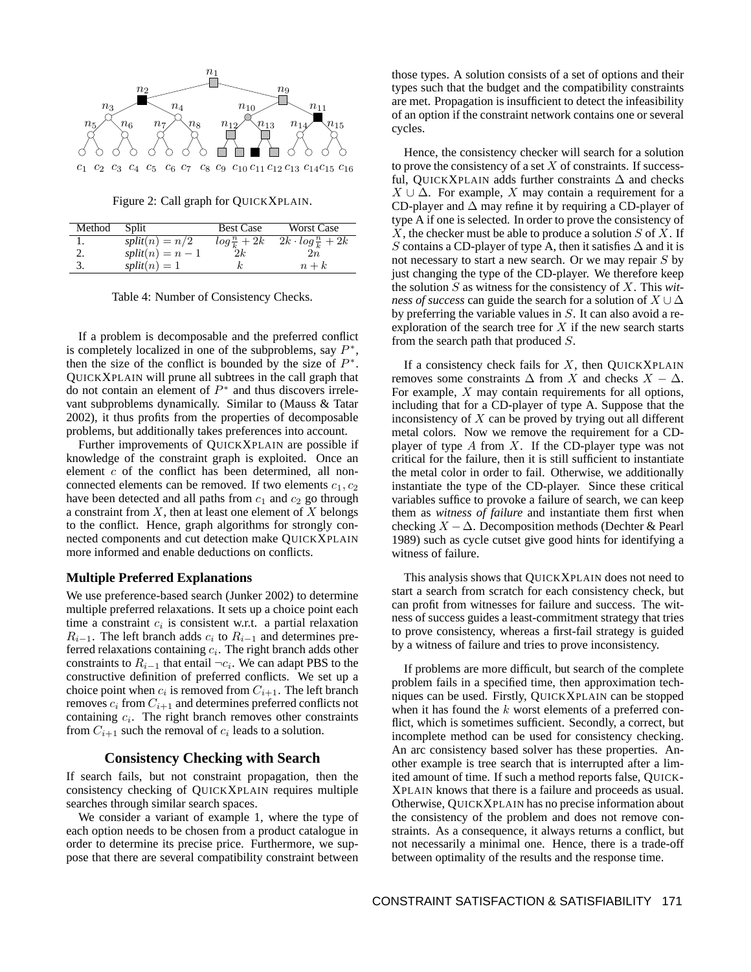

Figure 2: Call graph for QUICKXPLAIN.

| Method | Split              | <b>Best Case</b>     | <b>Worst Case</b>              |
|--------|--------------------|----------------------|--------------------------------|
| ı.     | $split(n) = n/2$   | $\log\frac{n}{k}+2k$ | $2k \cdot log\frac{n}{k} + 2k$ |
|        | $split(n) = n - 1$ | 2k                   | 2n                             |
| 3.     | $split(n) = 1$     |                      | $n+k$                          |

Table 4: Number of Consistency Checks.

If a problem is decomposable and the preferred conflict is completely localized in one of the subproblems, say  $P^*$ , then the size of the conflict is bounded by the size of  $P^*$ . QUICKXPLAIN will prune all subtrees in the call graph that  $\overrightarrow{d}$  not contain an element of  $P^*$  and thus discovers irrelevant subproblems dynamically. Similar to (Mauss & Tatar 2002), it thus profits from the properties of decomposable problems, but additionally takes preferences into account.

Further improvements of QUICKXPLAIN are possible if knowledge of the constraint graph is exploited. Once an element c of the conflict has been determined, all nonconnected elements can be removed. If two elements  $c_1, c_2$ have been detected and all paths from  $c_1$  and  $c_2$  go through a constraint from  $X$ , then at least one element of  $X$  belongs to the conflict. Hence, graph algorithms for strongly connected components and cut detection make QUICKXPLAIN more informed and enable deductions on conflicts.

### **Multiple Preferred Explanations**

We use preference-based search (Junker 2002) to determine multiple preferred relaxations. It sets up a choice point each time a constraint  $c_i$  is consistent w.r.t. a partial relaxation  $R_{i-1}$ . The left branch adds  $c_i$  to  $R_{i-1}$  and determines preferred relaxations containing  $c_i$ . The right branch adds other constraints to  $R_{i-1}$  that entail  $\neg c_i$ . We can adapt PBS to the constructive definition of preferred conflicts. We set up a choice point when  $c_i$  is removed from  $C_{i+1}$ . The left branch removes  $c_i$  from  $C_{i+1}$  and determines preferred conflicts not containing  $c_i$ . The right branch removes other constraints from  $C_{i+1}$  such the removal of  $c_i$  leads to a solution.

## **Consistency Checking with Search**

If search fails, but not constraint propagation, then the consistency checking of QUICKXPLAIN requires multiple searches through similar search spaces.

We consider a variant of example 1, where the type of each option needs to be chosen from a product catalogue in order to determine its precise price. Furthermore, we suppose that there are several compatibility constraint between

those types. A solution consists of a set of options and their types such that the budget and the compatibility constraints are met. Propagation is insufficient to detect the infeasibility of an option if the constraint network contains one or several cycles.

Hence, the consistency checker will search for a solution to prove the consistency of a set  $X$  of constraints. If successful, QUICKXPLAIN adds further constraints  $\Delta$  and checks  $X \cup \Delta$ . For example, X may contain a requirement for a CD-player and  $\Delta$  may refine it by requiring a CD-player of type A if one is selected. In order to prove the consistency of X, the checker must be able to produce a solution  $S$  of  $X$ . If S contains a CD-player of type A, then it satisfies  $\Delta$  and it is not necessary to start a new search. Or we may repair  $S$  by just changing the type of the CD-player. We therefore keep the solution S as witness for the consistency of X. This *witness of success* can guide the search for a solution of  $X \cup \Delta$ by preferring the variable values in S. It can also avoid a reexploration of the search tree for  $X$  if the new search starts from the search path that produced S.

If a consistency check fails for  $X$ , then QUICKXPLAIN removes some constraints  $\Delta$  from X and checks  $X - \Delta$ . For example,  $X$  may contain requirements for all options, including that for a CD-player of type A. Suppose that the inconsistency of  $X$  can be proved by trying out all different metal colors. Now we remove the requirement for a CDplayer of type  $A$  from  $X$ . If the CD-player type was not critical for the failure, then it is still sufficient to instantiate the metal color in order to fail. Otherwise, we additionally instantiate the type of the CD-player. Since these critical variables suffice to provoke a failure of search, we can keep them as *witness of failure* and instantiate them first when checking  $X - \Delta$ . Decomposition methods (Dechter & Pearl 1989) such as cycle cutset give good hints for identifying a witness of failure.

This analysis shows that QUICKXPLAIN does not need to start a search from scratch for each consistency check, but can profit from witnesses for failure and success. The witness of success guides a least-commitment strategy that tries to prove consistency, whereas a first-fail strategy is guided by a witness of failure and tries to prove inconsistency.

If problems are more difficult, but search of the complete problem fails in a specified time, then approximation techniques can be used. Firstly, QUICKXPLAIN can be stopped when it has found the k worst elements of a preferred conflict, which is sometimes sufficient. Secondly, a correct, but incomplete method can be used for consistency checking. An arc consistency based solver has these properties. Another example is tree search that is interrupted after a limited amount of time. If such a method reports false, QUICK-XPLAIN knows that there is a failure and proceeds as usual. Otherwise, QUICKXPLAIN has no precise information about the consistency of the problem and does not remove constraints. As a consequence, it always returns a conflict, but not necessarily a minimal one. Hence, there is a trade-off between optimality of the results and the response time.